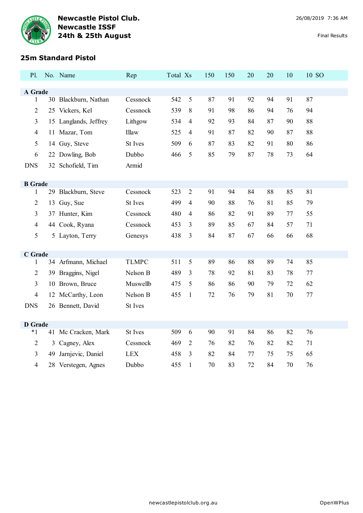

# **25m Standard Pistol**

| <b>P1.</b>     |    | No. Name              | Rep          | Total Xs |                | 150 | 150 | 20 | 20 | 10 | 10 SO |
|----------------|----|-----------------------|--------------|----------|----------------|-----|-----|----|----|----|-------|
|                |    |                       |              |          |                |     |     |    |    |    |       |
| A Grade<br>1   |    | 30 Blackburn, Nathan  | Cessnock     | 542      | $\sqrt{5}$     | 87  | 91  | 92 | 94 | 91 | 87    |
| $\overline{2}$ |    |                       | Cessnock     | 539      | 8              | 91  | 98  | 86 | 94 | 76 | 94    |
|                |    | 25 Vickers, Kel       |              |          |                |     |     |    |    |    |       |
| $\mathfrak{Z}$ |    | 15 Langlands, Jeffrey | Lithgow      | 534      | 4              | 92  | 93  | 84 | 87 | 90 | 88    |
| $\overline{4}$ |    | 11 Mazar, Tom         | Illaw        | 525      | 4              | 91  | 87  | 82 | 90 | 87 | 88    |
| 5              |    | 14 Guy, Steve         | St Ives      | 509      | 6              | 87  | 83  | 82 | 91 | 80 | 86    |
| 6              |    | 22 Dowling, Bob       | Dubbo        | 466      | 5              | 85  | 79  | 87 | 78 | 73 | 64    |
| <b>DNS</b>     |    | 32 Schofield, Tim     | Armid        |          |                |     |     |    |    |    |       |
|                |    |                       |              |          |                |     |     |    |    |    |       |
| <b>B</b> Grade |    |                       |              |          |                |     |     |    |    |    |       |
| 1              |    | 29 Blackburn, Steve   | Cessnock     | 523      | $\overline{2}$ | 91  | 94  | 84 | 88 | 85 | 81    |
| $\overline{2}$ |    | 13 Guy, Sue           | St Ives      | 499      | 4              | 90  | 88  | 76 | 81 | 85 | 79    |
| 3              |    | 37 Hunter, Kim        | Cessnock     | 480      | $\overline{4}$ | 86  | 82  | 91 | 89 | 77 | 55    |
| $\overline{4}$ |    | 44 Cook, Ryana        | Cessnock     | 453      | 3              | 89  | 85  | 67 | 84 | 57 | 71    |
| 5              |    | 5 Layton, Terry       | Genesys      | 438      | 3              | 84  | 87  | 67 | 66 | 66 | 68    |
|                |    |                       |              |          |                |     |     |    |    |    |       |
| C Grade        |    |                       |              |          |                |     |     |    |    |    |       |
| 1              |    | 34 Arfmann, Michael   | <b>TLMPC</b> | 511      | 5              | 89  | 86  | 88 | 89 | 74 | 85    |
| $\overline{2}$ |    | 39 Braggins, Nigel    | Nelson B     | 489      | 3              | 78  | 92  | 81 | 83 | 78 | 77    |
| $\mathfrak{Z}$ |    | 10 Brown, Bruce       | Muswellb     | 475      | 5              | 86  | 86  | 90 | 79 | 72 | 62    |
| $\overline{4}$ |    | 12 McCarthy, Leon     | Nelson B     | 455      | $\mathbf{1}$   | 72  | 76  | 79 | 81 | 70 | 77    |
| <b>DNS</b>     |    | 26 Bennett, David     | St Ives      |          |                |     |     |    |    |    |       |
|                |    |                       |              |          |                |     |     |    |    |    |       |
| <b>D</b> Grade |    |                       |              |          |                |     |     |    |    |    |       |
| $*1$           |    | 41 Mc Cracken, Mark   | St Ives      | 509      | 6              | 90  | 91  | 84 | 86 | 82 | 76    |
| $\overline{2}$ |    | 3 Cagney, Alex        | Cessnock     | 469      | $\overline{2}$ | 76  | 82  | 76 | 82 | 82 | 71    |
| 3              | 49 | Jarnjevic, Daniel     | <b>LEX</b>   | 458      | 3              | 82  | 84  | 77 | 75 | 75 | 65    |
| $\overline{4}$ |    | 28 Verstegen, Agnes   | Dubbo        | 455      | 1              | 70  | 83  | 72 | 84 | 70 | 76    |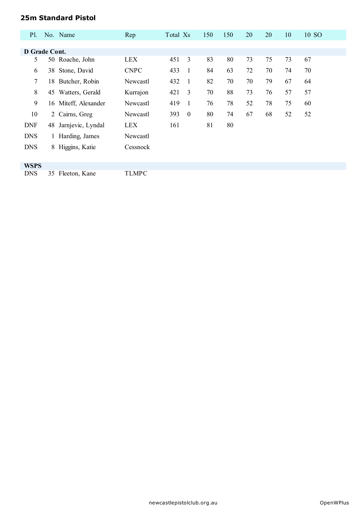#### **25m Standard Pistol**

| <b>Pl.</b>      |    | No. Name             | Rep             | Total Xs |                  | 150 | 150 | 20 | 20 | 10 | 10 SO |
|-----------------|----|----------------------|-----------------|----------|------------------|-----|-----|----|----|----|-------|
|                 |    |                      |                 |          |                  |     |     |    |    |    |       |
| D Grade Cont.   |    |                      |                 |          |                  |     |     |    |    |    |       |
| 5               |    | 50 Roache, John      | <b>LEX</b>      | 451      | 3                | 83  | 80  | 73 | 75 | 73 | 67    |
| 6               |    | 38 Stone, David      | <b>CNPC</b>     | 433      | $\overline{1}$   | 84  | 63  | 72 | 70 | 74 | 70    |
| $7\phantom{.0}$ |    | 18 Butcher, Robin    | Newcastl        | 432      | $\overline{1}$   | 82  | 70  | 70 | 79 | 67 | 64    |
| 8               |    | 45 Watters, Gerald   | Kurrajon        | 421      | 3                | 70  | 88  | 73 | 76 | 57 | 57    |
| 9               |    | 16 Miteff, Alexander | Newcastl        | 419      | $\overline{1}$   | 76  | 78  | 52 | 78 | 75 | 60    |
| 10              |    | 2 Cairns, Greg       | Newcastl        | 393      | $\boldsymbol{0}$ | 80  | 74  | 67 | 68 | 52 | 52    |
| <b>DNF</b>      |    | 48 Jarnjevic, Lyndal | <b>LEX</b>      | 161      |                  | 81  | 80  |    |    |    |       |
| <b>DNS</b>      |    | 1 Harding, James     | <b>Newcastl</b> |          |                  |     |     |    |    |    |       |
| <b>DNS</b>      |    | 8 Higgins, Katie     | Cessnock        |          |                  |     |     |    |    |    |       |
|                 |    |                      |                 |          |                  |     |     |    |    |    |       |
| <b>WSPS</b>     |    |                      |                 |          |                  |     |     |    |    |    |       |
| <b>DNS</b>      | 35 | Fleeton, Kane        | <b>TLMPC</b>    |          |                  |     |     |    |    |    |       |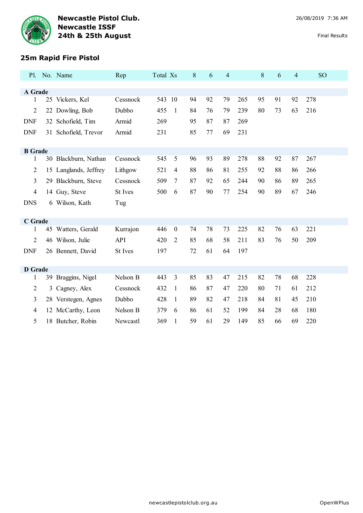

| Pl.            |   | No. Name              | Rep      | Total Xs |                | 8  | 6  | 4  |     | 8  | 6  | 4  | <b>SO</b> |
|----------------|---|-----------------------|----------|----------|----------------|----|----|----|-----|----|----|----|-----------|
|                |   |                       |          |          |                |    |    |    |     |    |    |    |           |
| A Grade<br>1   |   | 25 Vickers, Kel       | Cessnock | 543      | 10             | 94 | 92 | 79 | 265 | 95 | 91 | 92 | 278       |
| $\overline{2}$ |   | 22 Dowling, Bob       | Dubbo    | 455      | $\mathbf{1}$   | 84 | 76 | 79 | 239 | 80 | 73 | 63 | 216       |
| <b>DNF</b>     |   | 32 Schofield, Tim     | Armid    | 269      |                | 95 | 87 | 87 | 269 |    |    |    |           |
| <b>DNF</b>     |   | 31 Schofield, Trevor  | Armid    | 231      |                | 85 | 77 | 69 | 231 |    |    |    |           |
|                |   |                       |          |          |                |    |    |    |     |    |    |    |           |
| <b>B</b> Grade |   |                       |          |          |                |    |    |    |     |    |    |    |           |
| 1              |   | 30 Blackburn, Nathan  | Cessnock | 545      | 5              | 96 | 93 | 89 | 278 | 88 | 92 | 87 | 267       |
| 2              |   | 15 Langlands, Jeffrey | Lithgow  | 521      | 4              | 88 | 86 | 81 | 255 | 92 | 88 | 86 | 266       |
| 3              |   | 29 Blackburn, Steve   | Cessnock | 509      | 7              | 87 | 92 | 65 | 244 | 90 | 86 | 89 | 265       |
| $\overline{4}$ |   | 14 Guy, Steve         | St Ives  | 500      | 6              | 87 | 90 | 77 | 254 | 90 | 89 | 67 | 246       |
| <b>DNS</b>     |   | 6 Wilson, Kath        | Tug      |          |                |    |    |    |     |    |    |    |           |
|                |   |                       |          |          |                |    |    |    |     |    |    |    |           |
| C Grade        |   |                       |          |          |                |    |    |    |     |    |    |    |           |
| 1              |   | 45 Watters, Gerald    | Kurrajon | 446      | $\mathbf{0}$   | 74 | 78 | 73 | 225 | 82 | 76 | 63 | 221       |
| $\overline{2}$ |   | 46 Wilson, Julie      | API      | 420      | 2              | 85 | 68 | 58 | 211 | 83 | 76 | 50 | 209       |
| <b>DNF</b>     |   | 26 Bennett, David     | St Ives  | 197      |                | 72 | 61 | 64 | 197 |    |    |    |           |
|                |   |                       |          |          |                |    |    |    |     |    |    |    |           |
| <b>D</b> Grade |   |                       |          |          |                |    |    |    |     |    |    |    |           |
| 1              |   | 39 Braggins, Nigel    | Nelson B | 443      | $\overline{3}$ | 85 | 83 | 47 | 215 | 82 | 78 | 68 | 228       |
| 2              | 3 | Cagney, Alex          | Cessnock | 432      | 1              | 86 | 87 | 47 | 220 | 80 | 71 | 61 | 212       |
| 3              |   | 28 Verstegen, Agnes   | Dubbo    | 428      | $\mathbf{1}$   | 89 | 82 | 47 | 218 | 84 | 81 | 45 | 210       |
| 4              |   | 12 McCarthy, Leon     | Nelson B | 379      | 6              | 86 | 61 | 52 | 199 | 84 | 28 | 68 | 180       |
| 5              |   | 18 Butcher, Robin     | Newcastl | 369      | 1              | 59 | 61 | 29 | 149 | 85 | 66 | 69 | 220       |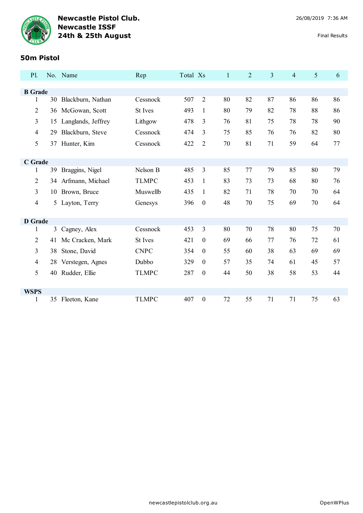

#### **50m Pistol**

| Pl.            |    | No. Name             | Rep            | Total Xs |                  | 1  | $\overline{2}$ | $\overline{3}$ | $\overline{4}$ | 5  | 6  |
|----------------|----|----------------------|----------------|----------|------------------|----|----------------|----------------|----------------|----|----|
|                |    |                      |                |          |                  |    |                |                |                |    |    |
| <b>B</b> Grade |    |                      |                |          |                  |    |                |                |                |    |    |
| $\mathbf{1}$   |    | 30 Blackburn, Nathan | Cessnock       | 507      | $\overline{2}$   | 80 | 82             | 87             | 86             | 86 | 86 |
| $\overline{2}$ | 36 | McGowan, Scott       | St Ives        | 493      | $\mathbf{1}$     | 80 | 79             | 82             | 78             | 88 | 86 |
| 3              | 15 | Langlands, Jeffrey   | Lithgow        | 478      | 3                | 76 | 81             | 75             | 78             | 78 | 90 |
| $\overline{4}$ | 29 | Blackburn, Steve     | Cessnock       | 474      | 3                | 75 | 85             | 76             | 76             | 82 | 80 |
| 5              |    | 37 Hunter, Kim       | Cessnock       | 422      | $\overline{2}$   | 70 | 81             | 71             | 59             | 64 | 77 |
|                |    |                      |                |          |                  |    |                |                |                |    |    |
| C Grade        |    |                      |                |          |                  |    |                |                |                |    |    |
| 1              |    | 39 Braggins, Nigel   | Nelson B       | 485      | 3                | 85 | 77             | 79             | 85             | 80 | 79 |
| $\overline{2}$ | 34 | Arfmann, Michael     | <b>TLMPC</b>   | 453      | $\mathbf{1}$     | 83 | 73             | 73             | 68             | 80 | 76 |
| 3              |    | 10 Brown, Bruce      | Muswellb       | 435      | $\mathbf{1}$     | 82 | 71             | 78             | 70             | 70 | 64 |
| $\overline{4}$ | 5  | Layton, Terry        | Genesys        | 396      | $\boldsymbol{0}$ | 48 | 70             | 75             | 69             | 70 | 64 |
|                |    |                      |                |          |                  |    |                |                |                |    |    |
| D Grade        |    |                      |                |          |                  |    |                |                |                |    |    |
| 1              |    | 3 Cagney, Alex       | Cessnock       | 453      | 3                | 80 | 70             | 78             | 80             | 75 | 70 |
| 2              | 41 | Mc Cracken, Mark     | <b>St Ives</b> | 421      | $\boldsymbol{0}$ | 69 | 66             | 77             | 76             | 72 | 61 |
| 3              | 38 | Stone, David         | <b>CNPC</b>    | 354      | $\boldsymbol{0}$ | 55 | 60             | 38             | 63             | 69 | 69 |
| $\overline{4}$ | 28 | Verstegen, Agnes     | Dubbo          | 329      | $\boldsymbol{0}$ | 57 | 35             | 74             | 61             | 45 | 57 |
| 5              | 40 | Rudder, Ellie        | <b>TLMPC</b>   | 287      | $\boldsymbol{0}$ | 44 | 50             | 38             | 58             | 53 | 44 |
|                |    |                      |                |          |                  |    |                |                |                |    |    |
| <b>WSPS</b>    |    |                      |                |          |                  |    |                |                |                |    |    |
| $\mathbf{1}$   | 35 | Fleeton, Kane        | <b>TLMPC</b>   | 407      | $\boldsymbol{0}$ | 72 | 55             | 71             | 71             | 75 | 63 |
|                |    |                      |                |          |                  |    |                |                |                |    |    |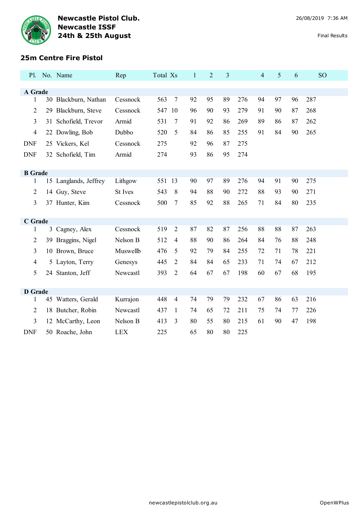

# **25m Centre Fire Pistol**

| Pl.            |    | No. Name              | Rep            | Total Xs |                | $\mathbf{1}$ | $\overline{2}$ | 3  |     | $\overline{4}$ | 5  | 6  | <b>SO</b> |
|----------------|----|-----------------------|----------------|----------|----------------|--------------|----------------|----|-----|----------------|----|----|-----------|
| A Grade        |    |                       |                |          |                |              |                |    |     |                |    |    |           |
| $\mathbf{1}$   |    | 30 Blackburn, Nathan  | Cessnock       | 563      | $\tau$         | 92           | 95             | 89 | 276 | 94             | 97 | 96 | 287       |
| 2              |    | 29 Blackburn, Steve   | Cessnock       | 547      | 10             | 96           | 90             | 93 | 279 | 91             | 90 | 87 | 268       |
| 3              | 31 | Schofield, Trevor     | Armid          | 531      | 7              | 91           | 92             | 86 | 269 | 89             | 86 | 87 | 262       |
| 4              |    | 22 Dowling, Bob       | Dubbo          | 520      | 5              | 84           | 86             | 85 | 255 | 91             | 84 | 90 | 265       |
| <b>DNF</b>     |    | 25 Vickers, Kel       | Cessnock       | 275      |                | 92           | 96             | 87 | 275 |                |    |    |           |
| <b>DNF</b>     |    | 32 Schofield, Tim     | Armid          | 274      |                | 93           | 86             | 95 | 274 |                |    |    |           |
|                |    |                       |                |          |                |              |                |    |     |                |    |    |           |
| <b>B</b> Grade |    |                       |                |          |                |              |                |    |     |                |    |    |           |
| 1              |    | 15 Langlands, Jeffrey | Lithgow        | 551 13   |                | 90           | 97             | 89 | 276 | 94             | 91 | 90 | 275       |
| 2              |    | 14 Guy, Steve         | <b>St</b> Ives | 543      | 8              | 94           | 88             | 90 | 272 | 88             | 93 | 90 | 271       |
| 3              |    | 37 Hunter, Kim        | Cessnock       | 500      | 7              | 85           | 92             | 88 | 265 | 71             | 84 | 80 | 235       |
|                |    |                       |                |          |                |              |                |    |     |                |    |    |           |
| C Grade        |    |                       |                |          |                |              |                |    |     |                |    |    |           |
| 1              | 3  | Cagney, Alex          | Cessnock       | 519      | $\overline{2}$ | 87           | 82             | 87 | 256 | 88             | 88 | 87 | 263       |
| 2              | 39 | Braggins, Nigel       | Nelson B       | 512      | 4              | 88           | 90             | 86 | 264 | 84             | 76 | 88 | 248       |
| 3              |    | 10 Brown, Bruce       | Muswellb       | 476      | 5              | 92           | 79             | 84 | 255 | 72             | 71 | 78 | 221       |
| 4              |    | 5 Layton, Terry       | Genesys        | 445      | $\overline{c}$ | 84           | 84             | 65 | 233 | 71             | 74 | 67 | 212       |
| 5              |    | 24 Stanton, Jeff      | Newcastl       | 393      | $\overline{2}$ | 64           | 67             | 67 | 198 | 60             | 67 | 68 | 195       |
|                |    |                       |                |          |                |              |                |    |     |                |    |    |           |
| <b>D</b> Grade |    |                       |                |          |                |              |                |    |     |                |    |    |           |
| 1              |    | 45 Watters, Gerald    | Kurrajon       | 448      | 4              | 74           | 79             | 79 | 232 | 67             | 86 | 63 | 216       |
| 2              |    | 18 Butcher, Robin     | Newcastl       | 437      | $\mathbf{1}$   | 74           | 65             | 72 | 211 | 75             | 74 | 77 | 226       |
| 3              |    | 12 McCarthy, Leon     | Nelson B       | 413      | 3              | 80           | 55             | 80 | 215 | 61             | 90 | 47 | 198       |
| <b>DNF</b>     |    | 50 Roache, John       | <b>LEX</b>     | 225      |                | 65           | 80             | 80 | 225 |                |    |    |           |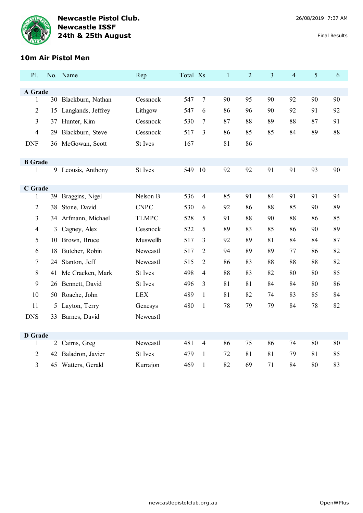

# **10m Air Pistol Men**

| P1.                     |                | No. Name             | Rep            | Total Xs |                | $\mathbf{1}$ | $\overline{2}$ | $\overline{3}$ | $\overline{4}$ | 5  | 6  |
|-------------------------|----------------|----------------------|----------------|----------|----------------|--------------|----------------|----------------|----------------|----|----|
|                         |                |                      |                |          |                |              |                |                |                |    |    |
| A Grade<br>$\mathbf{1}$ |                | 30 Blackburn, Nathan | Cessnock       | 547      | 7              | 90           | 95             | 90             | 92             | 90 | 90 |
| $\overline{2}$          | 15             | Langlands, Jeffrey   | Lithgow        | 547      | 6              | 86           | 96             | 90             | 92             | 91 | 92 |
| 3                       |                | 37 Hunter, Kim       | Cessnock       | 530      | 7              | 87           | 88             | 89             | 88             | 87 | 91 |
|                         |                | Blackburn, Steve     | Cessnock       |          |                |              |                | 85             |                | 89 |    |
| $\overline{4}$          | 29             |                      |                | 517      | 3              | 86           | 85             |                | 84             |    | 88 |
| <b>DNF</b>              |                | 36 McGowan, Scott    | St Ives        | 167      |                | 81           | 86             |                |                |    |    |
| <b>B</b> Grade          |                |                      |                |          |                |              |                |                |                |    |    |
| 1                       |                | 9 Leousis, Anthony   | <b>St Ives</b> | 549      | 10             | 92           | 92             | 91             | 91             | 93 | 90 |
|                         |                |                      |                |          |                |              |                |                |                |    |    |
| C Grade                 |                |                      |                |          |                |              |                |                |                |    |    |
| 1                       |                | 39 Braggins, Nigel   | Nelson B       | 536      | $\overline{4}$ | 85           | 91             | 84             | 91             | 91 | 94 |
| $\overline{2}$          | 38             | Stone, David         | <b>CNPC</b>    | 530      | 6              | 92           | 86             | 88             | 85             | 90 | 89 |
| 3                       |                | 34 Arfmann, Michael  | <b>TLMPC</b>   | 528      | 5              | 91           | 88             | 90             | 88             | 86 | 85 |
| $\overline{4}$          | 3              | Cagney, Alex         | Cessnock       | 522      | 5              | 89           | 83             | 85             | 86             | 90 | 89 |
| 5                       | 10             | Brown, Bruce         | Muswellb       | 517      | 3              | 92           | 89             | 81             | 84             | 84 | 87 |
| 6                       | 18             | Butcher, Robin       | Newcastl       | 517      | $\overline{2}$ | 94           | 89             | 89             | 77             | 86 | 82 |
| $\tau$                  |                | 24 Stanton, Jeff     | Newcastl       | 515      | 2              | 86           | 83             | 88             | 88             | 88 | 82 |
| 8                       |                | 41 Mc Cracken, Mark  | St Ives        | 498      | 4              | 88           | 83             | 82             | 80             | 80 | 85 |
| 9                       | 26             | Bennett, David       | St Ives        | 496      | 3              | 81           | 81             | 84             | 84             | 80 | 86 |
| 10                      |                | 50 Roache, John      | <b>LEX</b>     | 489      | $\mathbf{1}$   | 81           | 82             | 74             | 83             | 85 | 84 |
| 11                      |                | 5 Layton, Terry      | Genesys        | 480      | $\mathbf{1}$   | 78           | 79             | 79             | 84             | 78 | 82 |
| <b>DNS</b>              | 33             | Barnes, David        | Newcastl       |          |                |              |                |                |                |    |    |
|                         |                |                      |                |          |                |              |                |                |                |    |    |
| <b>D</b> Grade          |                |                      |                |          |                |              |                |                |                |    |    |
| 1                       | $\overline{2}$ | Cairns, Greg         | Newcastl       | 481      | $\overline{4}$ | 86           | 75             | 86             | 74             | 80 | 80 |
| $\overline{2}$          | 42             | Baladron, Javier     | <b>St Ives</b> | 479      | 1              | 72           | 81             | 81             | 79             | 81 | 85 |
| 3                       | 45             | Watters, Gerald      | Kurrajon       | 469      | $\mathbf{1}$   | 82           | 69             | 71             | 84             | 80 | 83 |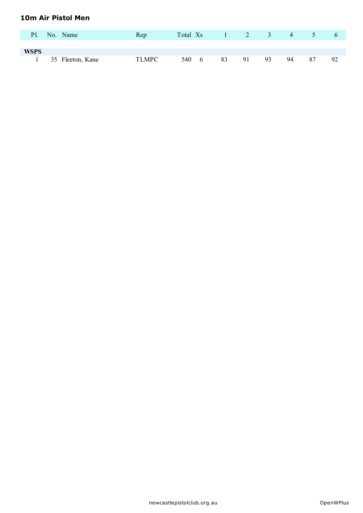#### **10m Air Pistol Men**

| <b>Pl.</b>  | No. Name         | Rep   | Total Xs |                      |    | $1 \qquad 2$ | $\sqrt{3}$ | 4  | 5 <sup>5</sup> |    |
|-------------|------------------|-------|----------|----------------------|----|--------------|------------|----|----------------|----|
|             |                  |       |          |                      |    |              |            |    |                |    |
| <b>WSPS</b> |                  |       |          |                      |    |              |            |    |                |    |
|             | 35 Fleeton, Kane | TLMPC | 540      | $6\phantom{.0000}\,$ | 83 | 91           | 93         | 94 | 87             | 92 |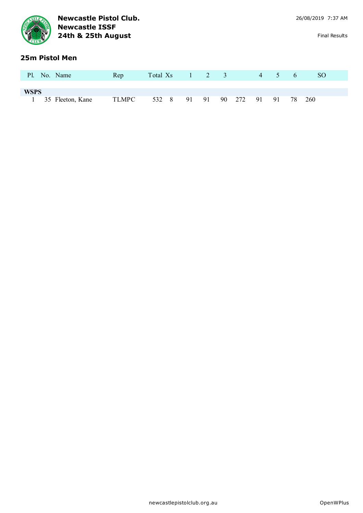|             | <b>Newcastle ISSF</b><br>24th & 25th August | <b>Newcastle Pistol Club.</b> |          |                      |    |                |     |                |                |    | 26/08/2019 7:37 AM | <b>Final Results</b> |
|-------------|---------------------------------------------|-------------------------------|----------|----------------------|----|----------------|-----|----------------|----------------|----|--------------------|----------------------|
|             | 25m Pistol Men                              |                               |          |                      |    |                |     |                |                |    |                    |                      |
| <b>P</b> l. | No. Name                                    | Rep                           | Total Xs | $\blacktriangleleft$ | 2  | $\overline{3}$ |     | $\overline{4}$ | $\overline{5}$ | -6 | <sub>SO</sub>      |                      |
|             |                                             |                               |          |                      |    |                |     |                |                |    |                    |                      |
| <b>WSPS</b> |                                             |                               |          |                      |    |                |     |                |                |    |                    |                      |
|             | 35 Fleeton, Kane                            | <b>TLMPC</b>                  | 532 8    | 91                   | 91 | 90             | 272 | 91             | 91             | 78 | 260                |                      |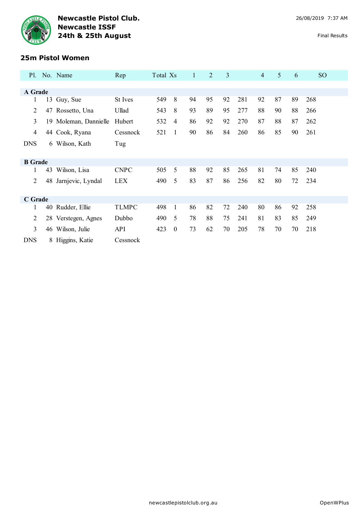

| Pl.            |    | No. Name              | Rep          | Total Xs |                  | $\mathbf{1}$ | $\overline{2}$ | 3  |     | $\overline{4}$ | 5  | 6  | SO <sub>1</sub> |
|----------------|----|-----------------------|--------------|----------|------------------|--------------|----------------|----|-----|----------------|----|----|-----------------|
|                |    |                       |              |          |                  |              |                |    |     |                |    |    |                 |
| A Grade        |    |                       |              |          |                  |              |                |    |     |                |    |    |                 |
| 1              | 13 | Guy, Sue              | St Ives      | 549      | 8                | 94           | 95             | 92 | 281 | 92             | 87 | 89 | 268             |
| 2              |    | 47 Rossetto, Una      | Ullad        | 543      | 8                | 93           | 89             | 95 | 277 | 88             | 90 | 88 | 266             |
| 3              |    | 19 Moleman, Dannielle | Hubert       | 532      | $\overline{4}$   | 86           | 92             | 92 | 270 | 87             | 88 | 87 | 262             |
| $\overline{4}$ |    | 44 Cook, Ryana        | Cessnock     | 521      | 1                | 90           | 86             | 84 | 260 | 86             | 85 | 90 | 261             |
| <b>DNS</b>     |    | 6 Wilson, Kath        | Tug          |          |                  |              |                |    |     |                |    |    |                 |
| <b>B</b> Grade |    |                       |              |          |                  |              |                |    |     |                |    |    |                 |
| 1              | 43 | Wilson, Lisa          | <b>CNPC</b>  | 505      | 5                | 88           | 92             | 85 | 265 | 81             | 74 | 85 | 240             |
| $\overline{2}$ | 48 | Jarnjevic, Lyndal     | <b>LEX</b>   | 490      | 5                | 83           | 87             | 86 | 256 | 82             | 80 | 72 | 234             |
| C Grade        |    |                       |              |          |                  |              |                |    |     |                |    |    |                 |
| 1              |    | 40 Rudder, Ellie      | <b>TLMPC</b> | 498      | $\mathbf{1}$     | 86           | 82             | 72 | 240 | 80             | 86 | 92 | 258             |
| 2              |    | 28 Verstegen, Agnes   | Dubbo        | 490      | 5                | 78           | 88             | 75 | 241 | 81             | 83 | 85 | 249             |
| 3              |    | 46 Wilson, Julie      | <b>API</b>   | 423      | $\boldsymbol{0}$ | 73           | 62             | 70 | 205 | 78             | 70 | 70 | 218             |
| <b>DNS</b>     |    | 8 Higgins, Katie      | Cessnock     |          |                  |              |                |    |     |                |    |    |                 |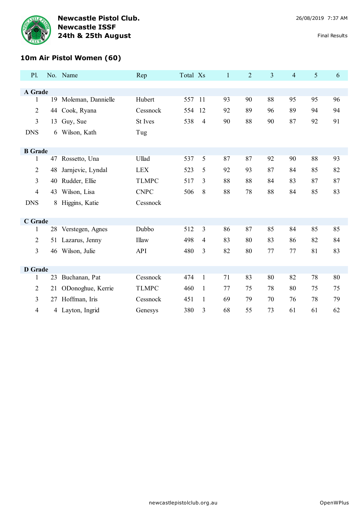

# **10m Air Pistol Women (60)**

| P1.            |    | No. Name              | Rep          | Total Xs |              | $\mathbf{1}$ | $\overline{2}$ | $\overline{3}$ | $\overline{4}$ | 5  | 6  |
|----------------|----|-----------------------|--------------|----------|--------------|--------------|----------------|----------------|----------------|----|----|
|                |    |                       |              |          |              |              |                |                |                |    |    |
| A Grade<br>1   |    | 19 Moleman, Dannielle | Hubert       | 557      | -11          | 93           | 90             | 88             | 95             | 95 | 96 |
| $\overline{2}$ |    |                       | Cessnock     |          | 12           |              | 89             |                | 89             | 94 | 94 |
|                | 44 | Cook, Ryana           |              | 554      |              | 92           |                | 96             |                |    |    |
| $\overline{3}$ | 13 | Guy, Sue              | St Ives      | 538      | 4            | 90           | 88             | 90             | 87             | 92 | 91 |
| <b>DNS</b>     | 6  | Wilson, Kath          | Tug          |          |              |              |                |                |                |    |    |
|                |    |                       |              |          |              |              |                |                |                |    |    |
| <b>B</b> Grade |    |                       |              |          |              |              |                |                |                |    |    |
| 1              |    | 47 Rossetto, Una      | Ullad        | 537      | 5            | 87           | 87             | 92             | 90             | 88 | 93 |
| $\mathfrak{2}$ | 48 | Jarnjevic, Lyndal     | <b>LEX</b>   | 523      | 5            | 92           | 93             | 87             | 84             | 85 | 82 |
| $\overline{3}$ | 40 | Rudder, Ellie         | <b>TLMPC</b> | 517      | 3            | 88           | 88             | 84             | 83             | 87 | 87 |
| $\overline{4}$ | 43 | Wilson, Lisa          | <b>CNPC</b>  | 506      | 8            | 88           | 78             | 88             | 84             | 85 | 83 |
| <b>DNS</b>     | 8  | Higgins, Katie        | Cessnock     |          |              |              |                |                |                |    |    |
|                |    |                       |              |          |              |              |                |                |                |    |    |
| C Grade        |    |                       |              |          |              |              |                |                |                |    |    |
| 1              |    | 28 Verstegen, Agnes   | Dubbo        | 512      | 3            | 86           | 87             | 85             | 84             | 85 | 85 |
| $\overline{2}$ |    | 51 Lazarus, Jenny     | Illaw        | 498      | 4            | 83           | 80             | 83             | 86             | 82 | 84 |
| $\overline{3}$ | 46 | Wilson, Julie         | <b>API</b>   | 480      | 3            | 82           | 80             | 77             | 77             | 81 | 83 |
|                |    |                       |              |          |              |              |                |                |                |    |    |
| <b>D</b> Grade |    |                       |              |          |              |              |                |                |                |    |    |
| 1              | 23 | Buchanan, Pat         | Cessnock     | 474      | $\mathbf{1}$ | 71           | 83             | 80             | 82             | 78 | 80 |
| $\overline{2}$ | 21 | ODonoghue, Kerrie     | <b>TLMPC</b> | 460      | $\mathbf{1}$ | 77           | 75             | 78             | 80             | 75 | 75 |
| $\overline{3}$ | 27 | Hoffman, Iris         | Cessnock     | 451      | $\mathbf{1}$ | 69           | 79             | 70             | 76             | 78 | 79 |
| 4              |    | 4 Layton, Ingrid      | Genesys      | 380      | 3            | 68           | 55             | 73             | 61             | 61 | 62 |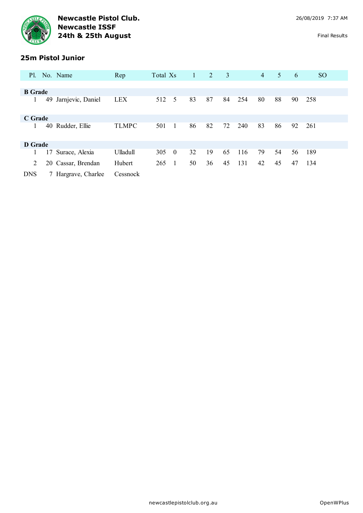

# **25m Pistol Junior**

| Pl.            |    | No. Name            | Rep          | Total Xs |          | $\mathbf{1}$ | 2  | 3  |     | $\overline{4}$ | 5  | 6  | SO <sub>1</sub> |
|----------------|----|---------------------|--------------|----------|----------|--------------|----|----|-----|----------------|----|----|-----------------|
|                |    |                     |              |          |          |              |    |    |     |                |    |    |                 |
| <b>B</b> Grade |    |                     |              |          |          |              |    |    |     |                |    |    |                 |
| 1              | 49 | Jarnjevic, Daniel   | <b>LEX</b>   | 512      | 5        | 83           | 87 | 84 | 254 | 80             | 88 | 90 | 258             |
| C Grade        |    |                     |              |          |          |              |    |    |     |                |    |    |                 |
| 1              | 40 | Rudder, Ellie       | <b>TLMPC</b> | 501      |          | 86           | 82 | 72 | 240 | 83             | 86 | 92 | 261             |
| D Grade        |    |                     |              |          |          |              |    |    |     |                |    |    |                 |
| 1              | 17 | Surace, Alexia      | Ulladull     | 305      | $\theta$ | 32           | 19 | 65 | 116 | 79             | 54 | 56 | 189             |
| 2              | 20 | Cassar, Brendan     | Hubert       | 265      |          | 50           | 36 | 45 | 131 | 42             | 45 | 47 | 134             |
| <b>DNS</b>     |    | 7 Hargrave, Charlee | Cessnock     |          |          |              |    |    |     |                |    |    |                 |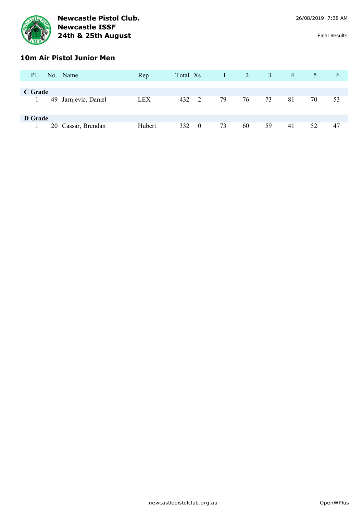

# **10m Air Pistol Junior Men**

| Pl.     | No. Name             | Rep        | Total Xs | $\blacktriangle$ 1 $\blacktriangleright$ | $\sqrt{2}$ | 3  | $\overline{4}$ | 5  | $\theta$ |
|---------|----------------------|------------|----------|------------------------------------------|------------|----|----------------|----|----------|
|         |                      |            |          |                                          |            |    |                |    |          |
| C Grade |                      |            |          |                                          |            |    |                |    |          |
|         | 49 Jarnjevic, Daniel | <b>LEX</b> | 432 2    | 79                                       | 76         | 73 | 81             | 70 | 53       |
| D Grade |                      |            |          |                                          |            |    |                |    |          |
|         | 20 Cassar, Brendan   | Hubert     | 332 0    | 73                                       | 60         | 59 | 41             | 52 | 47       |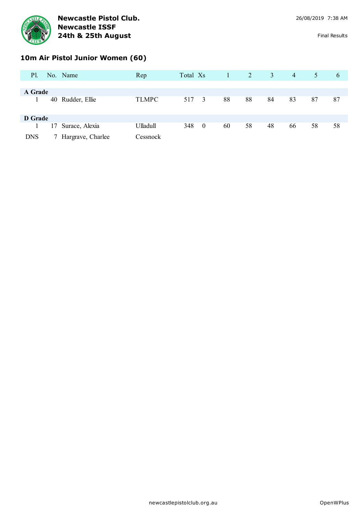

# **10m Air Pistol Junior Women (60)**

| Pl.        |    | No. Name          | Rep          | Total Xs |                  |    | $\sqrt{2}$ | 3  | $\overline{4}$ | 5  | $\theta$ |
|------------|----|-------------------|--------------|----------|------------------|----|------------|----|----------------|----|----------|
|            |    |                   |              |          |                  |    |            |    |                |    |          |
| A Grade    |    |                   |              |          |                  |    |            |    |                |    |          |
|            |    | 40 Rudder, Ellie  | <b>TLMPC</b> | 517 3    |                  | 88 | 88         | 84 | 83             | 87 | 87       |
| D Grade    |    |                   |              |          |                  |    |            |    |                |    |          |
|            |    | Surace, Alexia    | Ulladull     | 348      | $\boldsymbol{0}$ | 60 | 58         | 48 | 66             | 58 | 58       |
|            | 17 |                   |              |          |                  |    |            |    |                |    |          |
| <b>DNS</b> |    | Hargrave, Charlee | Cessnock     |          |                  |    |            |    |                |    |          |